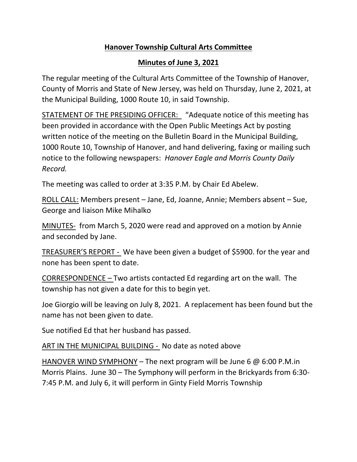### **Hanover Township Cultural Arts Committee**

#### **Minutes of June 3, 2021**

The regular meeting of the Cultural Arts Committee of the Township of Hanover, County of Morris and State of New Jersey, was held on Thursday, June 2, 2021, at the Municipal Building, 1000 Route 10, in said Township.

STATEMENT OF THE PRESIDING OFFICER: "Adequate notice of this meeting has been provided in accordance with the Open Public Meetings Act by posting written notice of the meeting on the Bulletin Board in the Municipal Building, 1000 Route 10, Township of Hanover, and hand delivering, faxing or mailing such notice to the following newspapers: *Hanover Eagle and Morris County Daily Record.*

The meeting was called to order at 3:35 P.M. by Chair Ed Abelew.

ROLL CALL: Members present – Jane, Ed, Joanne, Annie; Members absent – Sue, George and liaison Mike Mihalko

MINUTES- from March 5, 2020 were read and approved on a motion by Annie and seconded by Jane.

TREASURER'S REPORT - We have been given a budget of \$5900. for the year and none has been spent to date.

CORRESPONDENCE – Two artists contacted Ed regarding art on the wall. The township has not given a date for this to begin yet.

Joe Giorgio will be leaving on July 8, 2021. A replacement has been found but the name has not been given to date.

Sue notified Ed that her husband has passed.

ART IN THE MUNICIPAL BUILDING - No date as noted above

HANOVER WIND SYMPHONY – The next program will be June 6  $\omega$  6:00 P.M.in Morris Plains. June 30 – The Symphony will perform in the Brickyards from 6:30- 7:45 P.M. and July 6, it will perform in Ginty Field Morris Township